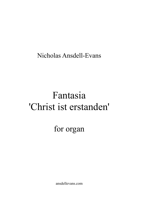Nicholas Ansdell-Evans

# Fantasia 'Christ ist erstanden'

for organ

ansdellevans.com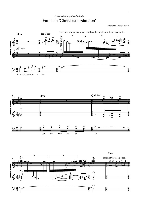Fantasia 'Christ ist erstanden'

Nicholas Ansdell-Evans





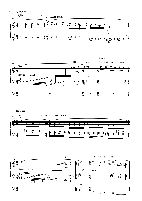





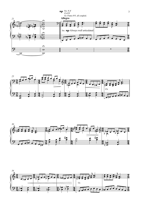





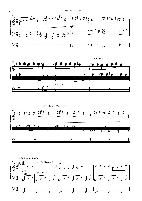





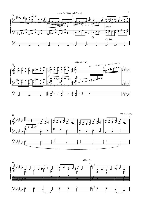





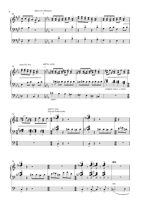





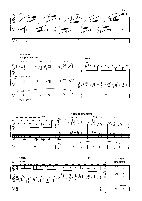

## **A tempo, mapiù maestoso**





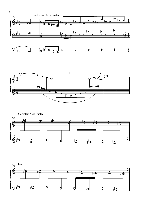



**Start slow. Accel. molto** 



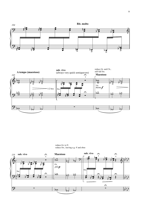



reduce Gr. to 8'; reduce Sw., leaving e.g. 4' and oboe

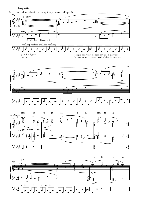## Larghetto



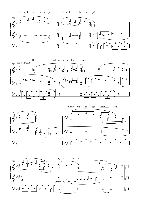





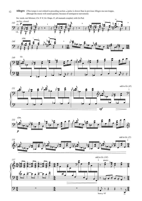#### Allegro (This tempo is not related to preceding section. J pulse is slower than in previous Allegro ma non troppo, 12 although the music will sound quicker, because of semiquaver movement)

Sw. reeds, not Mixture; Ch. 8' 4'; Gr. Diaps. 8', all manuals coupled, with Gr-Ped.











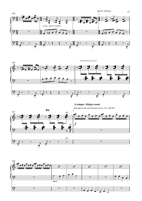



A tempo: Allegro assai



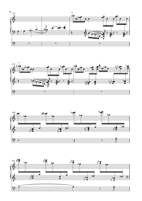





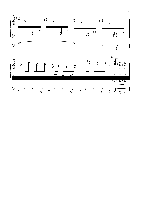

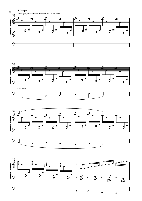### A tempo 16







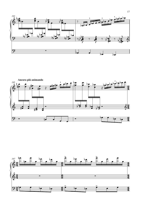



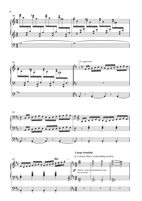





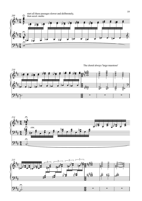

The choral always 'largo maestoso'





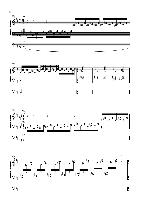





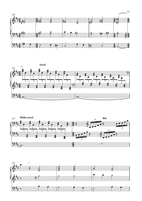





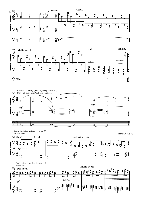





*249* **Slow! Accel.**  $4\bullet$  $\frac{4}{4}$  : : :  $9:4$  . . . . 2  $\frac{1}{2}$  Start with similar registration to bar 23. Sw. box closed.  $\bullet$ add to Gr. (e.g.  $4'$ ) <mark>. . . .</mark> . œ œ  $. . .$  $e$  ,  $e$  ,  $e$  $e$   $e$   $e$   $e$   $e$   $e$   $e$   $e$   $e$  $\frac{1}{2}$   $\frac{2}{2}$   $\frac{2}{2}$   $\frac{2}{2}$  $\mathbf{e}$  :  $\vdots$  $\overline{2}$   $\overline{1}$  $\mathbf{e}$ : œ™ ™<br><del>∷ el</del>  $\vdots$  : :  $\therefore$  $\frac{1}{2}$   $\frac{1}{2}$   $\frac{1}{2}$   $\frac{1}{2}$  $\epsilon$  is a set of  $\epsilon$  $\overline{\cdots}$  $\overline{\cdot}$  $\epsilon$   $\epsilon$   $\epsilon$  $\bullet \bullet$  $\frac{1}{2}$   $\frac{1}{2}$   $\frac{1}{2}$ e∴ E ™ **sses** e e e e  $\frac{1}{2}$   $\frac{1}{2}$   $\frac{1}{2}$   $\frac{1}{2}$  $2.2.3$  $2.3 - 7$  $e$   $e$   $e$   $e$   $e$   $e$  $\frac{1}{2}$   $\frac{1}{2}$   $\frac{2}{2}$   $\frac{8}{2}$  $\frac{1}{2}$   $\frac{1}{2}$   $\frac{8}{2}$  $\overline{y}$  $\bullet$   $8\frac{6}{5}$  $\frac{1}{\sqrt{1-\frac{1}{2}}\sqrt{1-\frac{1}{2}}\sqrt{1-\frac{1}{2}}\sqrt{1-\frac{1}{2}}\sqrt{1-\frac{1}{2}}\sqrt{1-\frac{1}{2}}\sqrt{1-\frac{1}{2}}\sqrt{1-\frac{1}{2}}\sqrt{1-\frac{1}{2}}\sqrt{1-\frac{1}{2}}\sqrt{1-\frac{1}{2}}\sqrt{1-\frac{1}{2}}\sqrt{1-\frac{1}{2}}\sqrt{1-\frac{1}{2}}\sqrt{1-\frac{1}{2}}\sqrt{1-\frac{1}{2}}\sqrt{1-\frac{1}{2}}\sqrt{1-\frac{1}{2}}\sqrt{1-\frac{1}{2}}\sqrt{1-\frac$ 

 ${\frac{G_r}{2r}}$  $4 \pm 1$  $\frac{4}{4}$  .  $8, 2, 3$  $6\overline{)}$ .  $\frac{6}{8}$  bo: Gr. mp *cresc.*  $9:4$  $\overline{\mathbf{6}}$   $\overline{\mathbf{4}}$  $\frac{e^{2}}{e^{2}}$   $\frac{8}{e^{2}}$  $\frac{6}{8}$  e be e e  $be$ ,  $\theta$  $b^2$   $b^2$   $c^2$   $c^2$   $c^2$  $\frac{1}{2}$  $b^{\circ}$   $\frac{1}{2}$   $\frac{1}{2}$   $\frac{1}{2}$ e<br>e la contra  $e^{4}$   $\frac{4}{9}$   $\frac{4}{9}$  $\frac{1}{4}$  $\frac{1}{2}$  $\frac{1}{2}$   $\frac{1}{2}$  $\bullet$  $\frac{4}{2}$  $\frac{a}{b}$ .  $\phi$ . ™  $\frac{1}{\sigma}$  $\bullet$   $\bullet$  $\frac{a}{c}$ .  $\circ$  $\frac{1}{\sqrt{2}}$  $\bullet$   $\overline{p}$  $\phi$ :  $\frac{1}{2}$  $\overline{\bullet}$   $\overline{\bullet}$   $\overline{\bullet}$  $\bullet$   $\frac{6}{8}$   $\bullet$   $\frac{1}{4}$  $\overline{b}$ e $\overline{b}$  $\frac{b}{b}$   $\frac{b}{c}$   $\frac{c}{c}$  $\frac{1}{4}$   $\frac{1}{6}$   $\frac{1}{9}$   $\frac{1}{4}$  $\frac{1}{6}$  $\frac{1}{2}$ ™

 $6\sqrt{1}$ 

 $\overline{4}$  $\frac{4}{4}$ 

add to Gr. (e.g. 2')

4  $\frac{4}{4}$